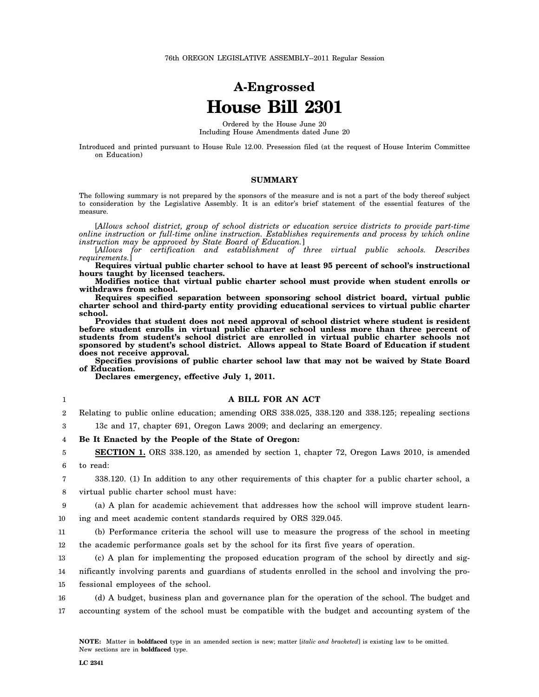# **A-Engrossed House Bill 2301**

Ordered by the House June 20 Including House Amendments dated June 20

Introduced and printed pursuant to House Rule 12.00. Presession filed (at the request of House Interim Committee on Education)

# **SUMMARY**

The following summary is not prepared by the sponsors of the measure and is not a part of the body thereof subject to consideration by the Legislative Assembly. It is an editor's brief statement of the essential features of the measure.

[*Allows school district, group of school districts or education service districts to provide part-time online instruction or full-time online instruction. Establishes requirements and process by which online instruction may be approved by State Board of Education.*]

[*Allows for certification and establishment of three virtual public schools. Describes requirements.*]

**Requires virtual public charter school to have at least 95 percent of school's instructional hours taught by licensed teachers.**

**Modifies notice that virtual public charter school must provide when student enrolls or withdraws from school.**

**Requires specified separation between sponsoring school district board, virtual public charter school and third-party entity providing educational services to virtual public charter school.**

**Provides that student does not need approval of school district where student is resident before student enrolls in virtual public charter school unless more than three percent of students from student's school district are enrolled in virtual public charter schools not sponsored by student's school district. Allows appeal to State Board of Education if student does not receive approval.**

**Specifies provisions of public charter school law that may not be waived by State Board of Education.**

**Declares emergency, effective July 1, 2011.**

# **A BILL FOR AN ACT**

2 Relating to public online education; amending ORS 338.025, 338.120 and 338.125; repealing sections

3 13c and 17, chapter 691, Oregon Laws 2009; and declaring an emergency.

4 **Be It Enacted by the People of the State of Oregon:**

5 6 **SECTION 1.** ORS 338.120, as amended by section 1, chapter 72, Oregon Laws 2010, is amended to read:

7 8 338.120. (1) In addition to any other requirements of this chapter for a public charter school, a virtual public charter school must have:

9 10 (a) A plan for academic achievement that addresses how the school will improve student learning and meet academic content standards required by ORS 329.045.

11 12 (b) Performance criteria the school will use to measure the progress of the school in meeting the academic performance goals set by the school for its first five years of operation.

13 14 (c) A plan for implementing the proposed education program of the school by directly and significantly involving parents and guardians of students enrolled in the school and involving the pro-

15 fessional employees of the school.

16 17 (d) A budget, business plan and governance plan for the operation of the school. The budget and accounting system of the school must be compatible with the budget and accounting system of the

1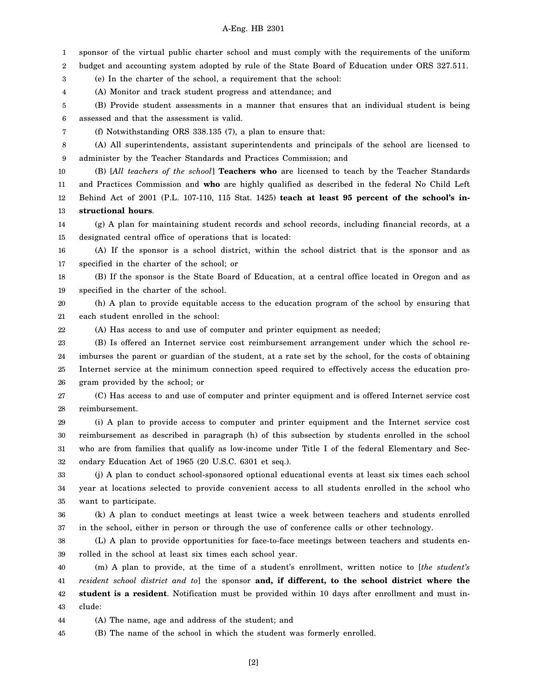1 2 3 4 5 6 7 8 9 10 11 12 13 14 15 16 17 18 19 20 21 22 23 24 25 26 27 28 29 30 31 32 33 34 35 36 37 38 39 40 41 42 43 sponsor of the virtual public charter school and must comply with the requirements of the uniform budget and accounting system adopted by rule of the State Board of Education under ORS 327.511. (e) In the charter of the school, a requirement that the school: (A) Monitor and track student progress and attendance; and (B) Provide student assessments in a manner that ensures that an individual student is being assessed and that the assessment is valid. (f) Notwithstanding ORS 338.135 (7), a plan to ensure that: (A) All superintendents, assistant superintendents and principals of the school are licensed to administer by the Teacher Standards and Practices Commission; and (B) [*All teachers of the school*] **Teachers who** are licensed to teach by the Teacher Standards and Practices Commission and **who** are highly qualified as described in the federal No Child Left Behind Act of 2001 (P.L. 107-110, 115 Stat. 1425) **teach at least 95 percent of the school's instructional hours**. (g) A plan for maintaining student records and school records, including financial records, at a designated central office of operations that is located: (A) If the sponsor is a school district, within the school district that is the sponsor and as specified in the charter of the school; or (B) If the sponsor is the State Board of Education, at a central office located in Oregon and as specified in the charter of the school. (h) A plan to provide equitable access to the education program of the school by ensuring that each student enrolled in the school: (A) Has access to and use of computer and printer equipment as needed; (B) Is offered an Internet service cost reimbursement arrangement under which the school reimburses the parent or guardian of the student, at a rate set by the school, for the costs of obtaining Internet service at the minimum connection speed required to effectively access the education program provided by the school; or (C) Has access to and use of computer and printer equipment and is offered Internet service cost reimbursement. (i) A plan to provide access to computer and printer equipment and the Internet service cost reimbursement as described in paragraph (h) of this subsection by students enrolled in the school who are from families that qualify as low-income under Title I of the federal Elementary and Secondary Education Act of 1965 (20 U.S.C. 6301 et seq.). (j) A plan to conduct school-sponsored optional educational events at least six times each school year at locations selected to provide convenient access to all students enrolled in the school who want to participate. (k) A plan to conduct meetings at least twice a week between teachers and students enrolled in the school, either in person or through the use of conference calls or other technology. (L) A plan to provide opportunities for face-to-face meetings between teachers and students enrolled in the school at least six times each school year. (m) A plan to provide, at the time of a student's enrollment, written notice to [*the student's resident school district and to*] the sponsor **and, if different, to the school district where the student is a resident**. Notification must be provided within 10 days after enrollment and must include:

44 (A) The name, age and address of the student; and

45 (B) The name of the school in which the student was formerly enrolled.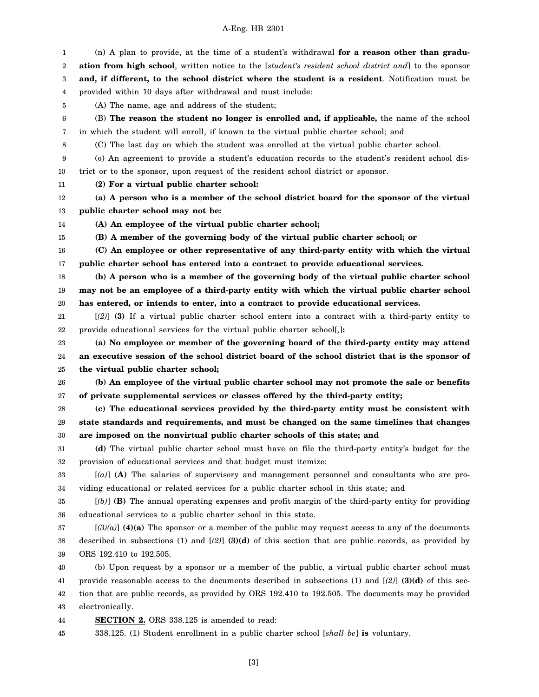1 2 3 4 5 6 7 8 9 10 11 12 13 14 15 16 17 18 19 20 21 22 23 24 25 26 27 28 29 30 31 32 33 34 35 36 37 38 39 40 41 42 43 44 45 (n) A plan to provide, at the time of a student's withdrawal **for a reason other than graduation from high school**, written notice to the [*student's resident school district and*] to the sponsor **and, if different, to the school district where the student is a resident**. Notification must be provided within 10 days after withdrawal and must include: (A) The name, age and address of the student; (B) **The reason the student no longer is enrolled and, if applicable,** the name of the school in which the student will enroll, if known to the virtual public charter school; and (C) The last day on which the student was enrolled at the virtual public charter school. (o) An agreement to provide a student's education records to the student's resident school district or to the sponsor, upon request of the resident school district or sponsor. **(2) For a virtual public charter school: (a) A person who is a member of the school district board for the sponsor of the virtual public charter school may not be: (A) An employee of the virtual public charter school; (B) A member of the governing body of the virtual public charter school; or (C) An employee or other representative of any third-party entity with which the virtual public charter school has entered into a contract to provide educational services. (b) A person who is a member of the governing body of the virtual public charter school may not be an employee of a third-party entity with which the virtual public charter school has entered, or intends to enter, into a contract to provide educational services.** [*(2)*] **(3)** If a virtual public charter school enters into a contract with a third-party entity to provide educational services for the virtual public charter school[*,*]**: (a) No employee or member of the governing board of the third-party entity may attend an executive session of the school district board of the school district that is the sponsor of the virtual public charter school; (b) An employee of the virtual public charter school may not promote the sale or benefits of private supplemental services or classes offered by the third-party entity; (c) The educational services provided by the third-party entity must be consistent with state standards and requirements, and must be changed on the same timelines that changes are imposed on the nonvirtual public charter schools of this state; and (d)** The virtual public charter school must have on file the third-party entity's budget for the provision of educational services and that budget must itemize: [*(a)*] **(A)** The salaries of supervisory and management personnel and consultants who are providing educational or related services for a public charter school in this state; and [*(b)*] **(B)** The annual operating expenses and profit margin of the third-party entity for providing educational services to a public charter school in this state. [*(3)(a)*] **(4)(a)** The sponsor or a member of the public may request access to any of the documents described in subsections (1) and [*(2)*] **(3)(d)** of this section that are public records, as provided by ORS 192.410 to 192.505. (b) Upon request by a sponsor or a member of the public, a virtual public charter school must provide reasonable access to the documents described in subsections (1) and [*(2)*] **(3)(d)** of this section that are public records, as provided by ORS 192.410 to 192.505. The documents may be provided electronically. **SECTION 2.** ORS 338.125 is amended to read: 338.125. (1) Student enrollment in a public charter school [*shall be*] **is** voluntary.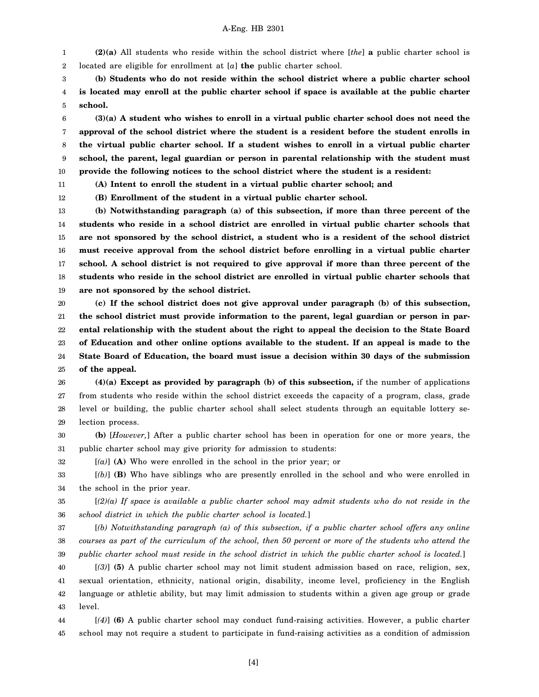1 2 **(2)(a)** All students who reside within the school district where [*the*] **a** public charter school is located are eligible for enrollment at [*a*] **the** public charter school.

3 4 5 **(b) Students who do not reside within the school district where a public charter school is located may enroll at the public charter school if space is available at the public charter school.**

6 7 8 9 10 **(3)(a) A student who wishes to enroll in a virtual public charter school does not need the approval of the school district where the student is a resident before the student enrolls in the virtual public charter school. If a student wishes to enroll in a virtual public charter school, the parent, legal guardian or person in parental relationship with the student must provide the following notices to the school district where the student is a resident:**

11

32

**(A) Intent to enroll the student in a virtual public charter school; and**

12 **(B) Enrollment of the student in a virtual public charter school.**

13 14 15 16 17 18 19 **(b) Notwithstanding paragraph (a) of this subsection, if more than three percent of the students who reside in a school district are enrolled in virtual public charter schools that are not sponsored by the school district, a student who is a resident of the school district must receive approval from the school district before enrolling in a virtual public charter school. A school district is not required to give approval if more than three percent of the students who reside in the school district are enrolled in virtual public charter schools that are not sponsored by the school district.**

20 21 22 23 24 25 **(c) If the school district does not give approval under paragraph (b) of this subsection, the school district must provide information to the parent, legal guardian or person in parental relationship with the student about the right to appeal the decision to the State Board of Education and other online options available to the student. If an appeal is made to the State Board of Education, the board must issue a decision within 30 days of the submission of the appeal.**

26 27 28 29 **(4)(a) Except as provided by paragraph (b) of this subsection,** if the number of applications from students who reside within the school district exceeds the capacity of a program, class, grade level or building, the public charter school shall select students through an equitable lottery selection process.

30 31 **(b)** [*However,*] After a public charter school has been in operation for one or more years, the public charter school may give priority for admission to students:

[*(a)*] **(A)** Who were enrolled in the school in the prior year; or

33 34 [*(b)*] **(B)** Who have siblings who are presently enrolled in the school and who were enrolled in the school in the prior year.

35 36 [*(2)(a) If space is available a public charter school may admit students who do not reside in the school district in which the public charter school is located.*]

37 38 39 [*(b) Notwithstanding paragraph (a) of this subsection, if a public charter school offers any online courses as part of the curriculum of the school, then 50 percent or more of the students who attend the public charter school must reside in the school district in which the public charter school is located.*]

40 41 42 43 [*(3)*] **(5)** A public charter school may not limit student admission based on race, religion, sex, sexual orientation, ethnicity, national origin, disability, income level, proficiency in the English language or athletic ability, but may limit admission to students within a given age group or grade level.

44 45 [*(4)*] **(6)** A public charter school may conduct fund-raising activities. However, a public charter school may not require a student to participate in fund-raising activities as a condition of admission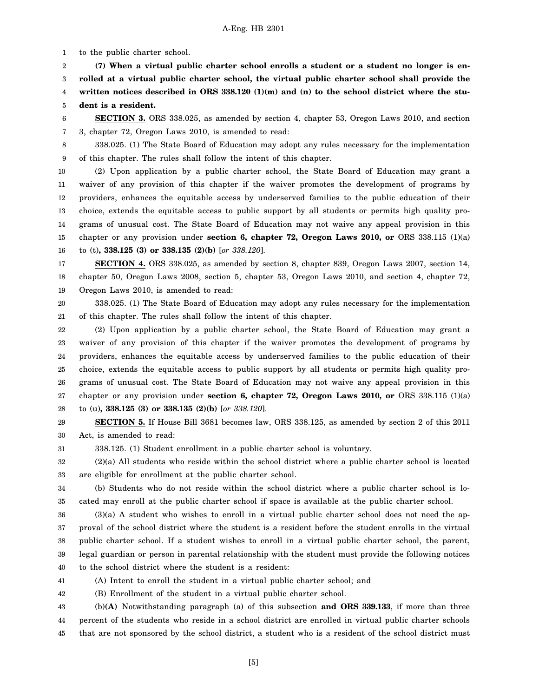1 to the public charter school.

2 3 4 5 **(7) When a virtual public charter school enrolls a student or a student no longer is enrolled at a virtual public charter school, the virtual public charter school shall provide the** written notices described in ORS 338.120 (1)(m) and (n) to the school district where the stu**dent is a resident.**

6 7 **SECTION 3.** ORS 338.025, as amended by section 4, chapter 53, Oregon Laws 2010, and section 3, chapter 72, Oregon Laws 2010, is amended to read:

8

9 338.025. (1) The State Board of Education may adopt any rules necessary for the implementation of this chapter. The rules shall follow the intent of this chapter.

10 11 12 13 14 15 16 (2) Upon application by a public charter school, the State Board of Education may grant a waiver of any provision of this chapter if the waiver promotes the development of programs by providers, enhances the equitable access by underserved families to the public education of their choice, extends the equitable access to public support by all students or permits high quality programs of unusual cost. The State Board of Education may not waive any appeal provision in this chapter or any provision under **section 6, chapter 72, Oregon Laws 2010, or** ORS 338.115 (1)(a) to (t)**, 338.125 (3) or 338.135 (2)(b)** [*or 338.120*].

17 18 19 **SECTION 4.** ORS 338.025, as amended by section 8, chapter 839, Oregon Laws 2007, section 14, chapter 50, Oregon Laws 2008, section 5, chapter 53, Oregon Laws 2010, and section 4, chapter 72, Oregon Laws 2010, is amended to read:

20 21 338.025. (1) The State Board of Education may adopt any rules necessary for the implementation of this chapter. The rules shall follow the intent of this chapter.

22 23 24 25 26 27 28 (2) Upon application by a public charter school, the State Board of Education may grant a waiver of any provision of this chapter if the waiver promotes the development of programs by providers, enhances the equitable access by underserved families to the public education of their choice, extends the equitable access to public support by all students or permits high quality programs of unusual cost. The State Board of Education may not waive any appeal provision in this chapter or any provision under **section 6, chapter 72, Oregon Laws 2010, or** ORS 338.115 (1)(a) to (u)**, 338.125 (3) or 338.135 (2)(b)** [*or 338.120*].

29 30 **SECTION 5.** If House Bill 3681 becomes law, ORS 338.125, as amended by section 2 of this 2011 Act, is amended to read:

31 338.125. (1) Student enrollment in a public charter school is voluntary.

32 33 (2)(a) All students who reside within the school district where a public charter school is located are eligible for enrollment at the public charter school.

34 35 (b) Students who do not reside within the school district where a public charter school is located may enroll at the public charter school if space is available at the public charter school.

36 37 38 39 40 (3)(a) A student who wishes to enroll in a virtual public charter school does not need the approval of the school district where the student is a resident before the student enrolls in the virtual public charter school. If a student wishes to enroll in a virtual public charter school, the parent, legal guardian or person in parental relationship with the student must provide the following notices to the school district where the student is a resident:

41 (A) Intent to enroll the student in a virtual public charter school; and

42 (B) Enrollment of the student in a virtual public charter school.

43 44 45 (b)**(A)** Notwithstanding paragraph (a) of this subsection **and ORS 339.133**, if more than three percent of the students who reside in a school district are enrolled in virtual public charter schools that are not sponsored by the school district, a student who is a resident of the school district must